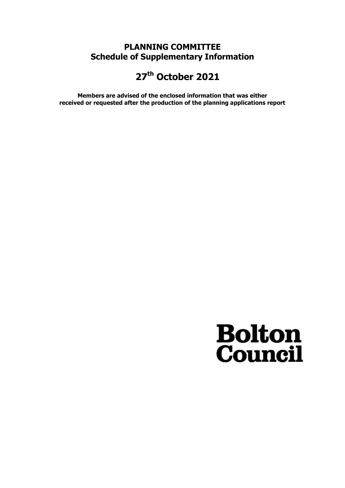### **PLANNING COMMITTEE Schedule of Supplementary Information**

## **27th October 2021**

**Members are advised of the enclosed information that was either received or requested after the production of the planning applications report**

# **Bolton**<br>**Council**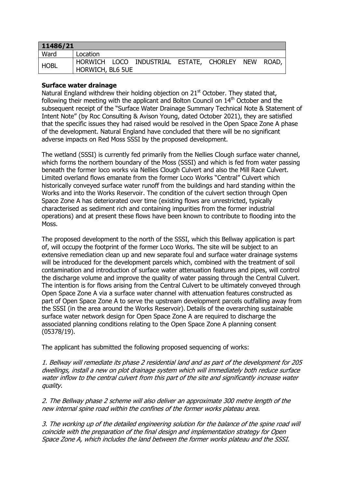| 11486/21 |                  |  |                                                   |  |  |  |  |
|----------|------------------|--|---------------------------------------------------|--|--|--|--|
| Ward     | Location         |  |                                                   |  |  |  |  |
| HOBL     | HORWICH, BL6 5UE |  | HORWICH LOCO INDUSTRIAL ESTATE, CHORLEY NEW ROAD, |  |  |  |  |

#### **Surface water drainage**

Natural England withdrew their holding objection on 21<sup>st</sup> October. They stated that, following their meeting with the applicant and Bolton Council on 14<sup>th</sup> October and the subsequent receipt of the "Surface Water Drainage Summary Technical Note & Statement of Intent Note" (by Roc Consulting & Avison Young, dated October 2021), they are satisfied that the specific issues they had raised would be resolved in the Open Space Zone A phase of the development. Natural England have concluded that there will be no significant adverse impacts on Red Moss SSSI by the proposed development.

The wetland (SSSI) is currently fed primarily from the Nellies Clough surface water channel, which forms the northern boundary of the Moss (SSSI) and which is fed from water passing beneath the former loco works via Nellies Clough Culvert and also the Mill Race Culvert. Limited overland flows emanate from the former Loco Works "Central" Culvert which historically conveyed surface water runoff from the buildings and hard standing within the Works and into the Works Reservoir. The condition of the culvert section through Open Space Zone A has deteriorated over time (existing flows are unrestricted, typically characterised as sediment rich and containing impurities from the former industrial operations) and at present these flows have been known to contribute to flooding into the Moss.

The proposed development to the north of the SSSI, which this Bellway application is part of, will occupy the footprint of the former Loco Works. The site will be subject to an extensive remediation clean up and new separate foul and surface water drainage systems will be introduced for the development parcels which, combined with the treatment of soil contamination and introduction of surface water attenuation features and pipes, will control the discharge volume and improve the quality of water passing through the Central Culvert. The intention is for flows arising from the Central Culvert to be ultimately conveyed through Open Space Zone A via a surface water channel with attenuation features constructed as part of Open Space Zone A to serve the upstream development parcels outfalling away from the SSSI (in the area around the Works Reservoir). Details of the overarching sustainable surface water network design for Open Space Zone A are required to discharge the associated planning conditions relating to the Open Space Zone A planning consent (05378/19).

The applicant has submitted the following proposed sequencing of works:

1. Bellway will remediate its phase 2 residential land and as part of the development for 205 dwellings, install a new on plot drainage system which will immediately both reduce surface water inflow to the central culvert from this part of the site and significantly increase water quality.

2. The Bellway phase 2 scheme will also deliver an approximate 300 metre length of the new internal spine road within the confines of the former works plateau area.

3. The working up of the detailed engineering solution for the balance of the spine road will coincide with the preparation of the final design and implementation strategy for Open Space Zone A, which includes the land between the former works plateau and the SSSI.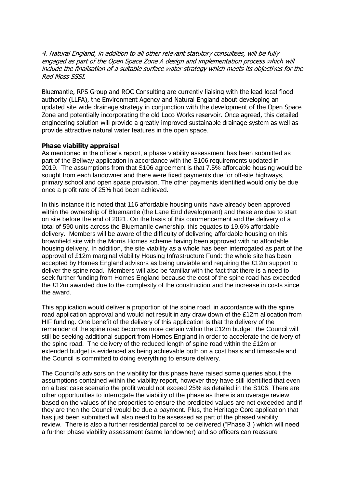4. Natural England, in addition to all other relevant statutory consultees, will be fully engaged as part of the Open Space Zone A design and implementation process which will include the finalisation of a suitable surface water strategy which meets its objectives for the Red Moss SSSI.

Bluemantle, RPS Group and ROC Consulting are currently liaising with the lead local flood authority (LLFA), the Environment Agency and Natural England about developing an updated site wide drainage strategy in conjunction with the development of the Open Space Zone and potentially incorporating the old Loco Works reservoir. Once agreed, this detailed engineering solution will provide a greatly improved sustainable drainage system as well as provide attractive natural water features in the open space.

#### **Phase viability appraisal**

As mentioned in the officer's report, a phase viability assessment has been submitted as part of the Bellway application in accordance with the S106 requirements updated in 2019. The assumptions from that S106 agreement is that 7.5% affordable housing would be sought from each landowner and there were fixed payments due for off-site highways, primary school and open space provision. The other payments identified would only be due once a profit rate of 25% had been achieved.

In this instance it is noted that 116 affordable housing units have already been approved within the ownership of Bluemantle (the Lane End development) and these are due to start on site before the end of 2021. On the basis of this commencement and the delivery of a total of 590 units across the Bluemantle ownership, this equates to 19.6% affordable delivery. Members will be aware of the difficulty of delivering affordable housing on this brownfield site with the Morris Homes scheme having been approved with no affordable housing delivery. In addition, the site viability as a whole has been interrogated as part of the approval of £12m marginal viability Housing Infrastructure Fund: the whole site has been accepted by Homes England advisors as being unviable and requiring the £12m support to deliver the spine road. Members will also be familiar with the fact that there is a need to seek further funding from Homes England because the cost of the spine road has exceeded the £12m awarded due to the complexity of the construction and the increase in costs since the award.

This application would deliver a proportion of the spine road, in accordance with the spine road application approval and would not result in any draw down of the £12m allocation from HIF funding. One benefit of the delivery of this application is that the delivery of the remainder of the spine road becomes more certain within the £12m budget: the Council will still be seeking additional support from Homes England in order to accelerate the delivery of the spine road. The delivery of the reduced length of spine road within the £12m or extended budget is evidenced as being achievable both on a cost basis and timescale and the Council is committed to doing everything to ensure delivery.

The Council's advisors on the viability for this phase have raised some queries about the assumptions contained within the viability report, however they have still identified that even on a best case scenario the profit would not exceed 25% as detailed in the S106. There are other opportunities to interrogate the viability of the phase as there is an overage review based on the values of the properties to ensure the predicted values are not exceeded and if they are then the Council would be due a payment. Plus, the Heritage Core application that has just been submitted will also need to be assessed as part of the phased viability review. There is also a further residential parcel to be delivered ("Phase 3") which will need a further phase viability assessment (same landowner) and so officers can reassure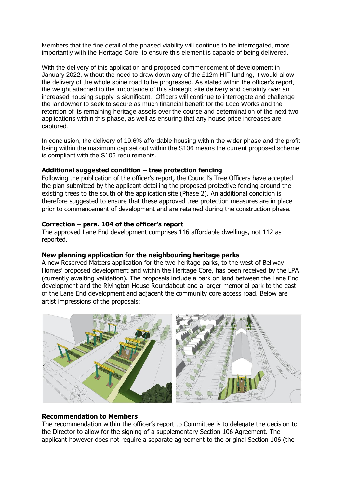Members that the fine detail of the phased viability will continue to be interrogated, more importantly with the Heritage Core, to ensure this element is capable of being delivered.

With the delivery of this application and proposed commencement of development in January 2022, without the need to draw down any of the £12m HIF funding, it would allow the delivery of the whole spine road to be progressed. As stated within the officer's report, the weight attached to the importance of this strategic site delivery and certainty over an increased housing supply is significant. Officers will continue to interrogate and challenge the landowner to seek to secure as much financial benefit for the Loco Works and the retention of its remaining heritage assets over the course and determination of the next two applications within this phase, as well as ensuring that any house price increases are captured.

In conclusion, the delivery of 19.6% affordable housing within the wider phase and the profit being within the maximum cap set out within the S106 means the current proposed scheme is compliant with the S106 requirements.

#### **Additional suggested condition – tree protection fencing**

Following the publication of the officer's report, the Council's Tree Officers have accepted the plan submitted by the applicant detailing the proposed protective fencing around the existing trees to the south of the application site (Phase 2). An additional condition is therefore suggested to ensure that these approved tree protection measures are in place prior to commencement of development and are retained during the construction phase.

#### **Correction – para. 104 of the officer's report**

The approved Lane End development comprises 116 affordable dwellings, not 112 as reported.

#### **New planning application for the neighbouring heritage parks**

A new Reserved Matters application for the two heritage parks, to the west of Bellway Homes' proposed development and within the Heritage Core, has been received by the LPA (currently awaiting validation). The proposals include a park on land between the Lane End development and the Rivington House Roundabout and a larger memorial park to the east of the Lane End development and adjacent the community core access road. Below are artist impressions of the proposals:



#### **Recommendation to Members**

The recommendation within the officer's report to Committee is to delegate the decision to the Director to allow for the signing of a supplementary Section 106 Agreement. The applicant however does not require a separate agreement to the original Section 106 (the